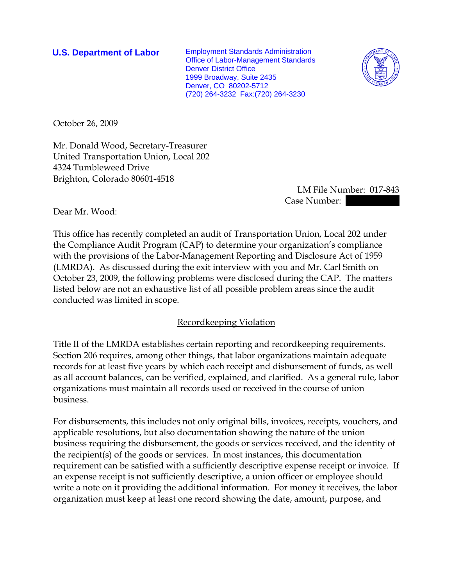**U.S. Department of Labor** Employment Standards Administration Office of Labor-Management Standards Denver District Office 1999 Broadway, Suite 2435 Denver, CO 80202-5712 (720) 264-3232 Fax:(720) 264-3230



October 26, 2009

Mr. Donald Wood, Secretary-Treasurer United Transportation Union, Local 202 4324 Tumbleweed Drive Brighton, Colorado 80601-4518

> LM File Number: 017-843 Case Number: |

Dear Mr. Wood:

This office has recently completed an audit of Transportation Union, Local 202 under the Compliance Audit Program (CAP) to determine your organization's compliance with the provisions of the Labor-Management Reporting and Disclosure Act of 1959 (LMRDA). As discussed during the exit interview with you and Mr. Carl Smith on October 23, 2009, the following problems were disclosed during the CAP. The matters listed below are not an exhaustive list of all possible problem areas since the audit conducted was limited in scope.

#### Recordkeeping Violation

Title II of the LMRDA establishes certain reporting and recordkeeping requirements. Section 206 requires, among other things, that labor organizations maintain adequate records for at least five years by which each receipt and disbursement of funds, as well as all account balances, can be verified, explained, and clarified. As a general rule, labor organizations must maintain all records used or received in the course of union business.

For disbursements, this includes not only original bills, invoices, receipts, vouchers, and applicable resolutions, but also documentation showing the nature of the union business requiring the disbursement, the goods or services received, and the identity of the recipient(s) of the goods or services. In most instances, this documentation requirement can be satisfied with a sufficiently descriptive expense receipt or invoice. If an expense receipt is not sufficiently descriptive, a union officer or employee should write a note on it providing the additional information. For money it receives, the labor organization must keep at least one record showing the date, amount, purpose, and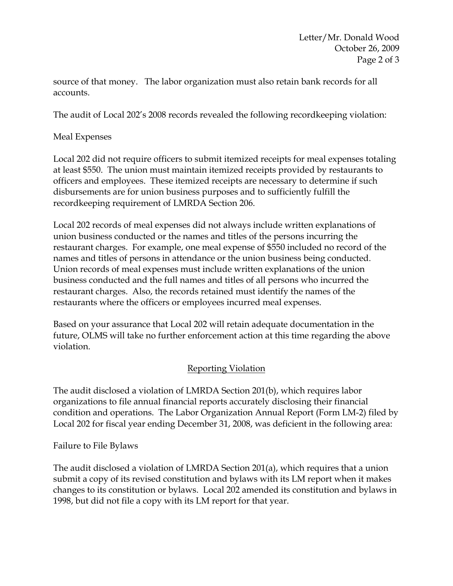source of that money. The labor organization must also retain bank records for all accounts.

The audit of Local 202's 2008 records revealed the following recordkeeping violation:

## Meal Expenses

Local 202 did not require officers to submit itemized receipts for meal expenses totaling at least \$550. The union must maintain itemized receipts provided by restaurants to officers and employees. These itemized receipts are necessary to determine if such disbursements are for union business purposes and to sufficiently fulfill the recordkeeping requirement of LMRDA Section 206.

Local 202 records of meal expenses did not always include written explanations of union business conducted or the names and titles of the persons incurring the restaurant charges. For example, one meal expense of \$550 included no record of the names and titles of persons in attendance or the union business being conducted. Union records of meal expenses must include written explanations of the union business conducted and the full names and titles of all persons who incurred the restaurant charges. Also, the records retained must identify the names of the restaurants where the officers or employees incurred meal expenses.

Based on your assurance that Local 202 will retain adequate documentation in the future, OLMS will take no further enforcement action at this time regarding the above violation.

#### Reporting Violation

The audit disclosed a violation of LMRDA Section 201(b), which requires labor organizations to file annual financial reports accurately disclosing their financial condition and operations. The Labor Organization Annual Report (Form LM-2) filed by Local 202 for fiscal year ending December 31, 2008, was deficient in the following area:

# Failure to File Bylaws

The audit disclosed a violation of LMRDA Section 201(a), which requires that a union submit a copy of its revised constitution and bylaws with its LM report when it makes changes to its constitution or bylaws. Local 202 amended its constitution and bylaws in 1998, but did not file a copy with its LM report for that year.